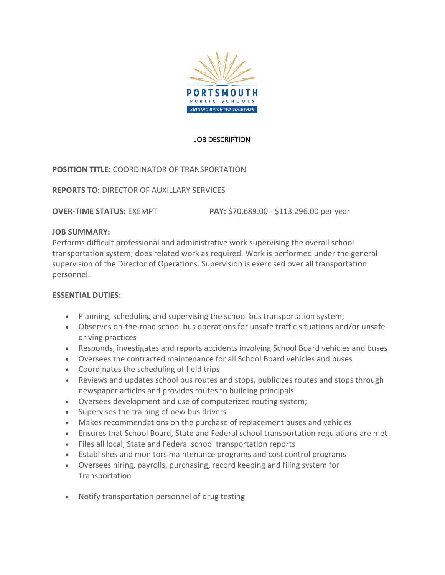

## JOB DESCRIPTION

# **POSITION TITLE:** COORDINATOR OF TRANSPORTATION

**REPORTS TO:** DIRECTOR OF AUXILLARY SERVICES

**OVER-TIME STATUS:** EXEMPT **PAY:** \$70,689.00 - \$113,296.00 per year

## **JOB SUMMARY:**

Performs difficult professional and administrative work supervising the overall school transportation system; does related work as required. Work is performed under the general supervision of the Director of Operations. Supervision is exercised over all transportation personnel.

# **ESSENTIAL DUTIES:**

- Planning, scheduling and supervising the school bus transportation system;
- Observes on-the-road school bus operations for unsafe traffic situations and/or unsafe driving practices
- Responds, investigates and reports accidents involving School Board vehicles and buses
- Oversees the contracted maintenance for all School Board vehicles and buses
- Coordinates the scheduling of field trips
- Reviews and updates school bus routes and stops, publicizes routes and stops through newspaper articles and provides routes to building principals
- Oversees development and use of computerized routing system;
- Supervises the training of new bus drivers
- Makes recommendations on the purchase of replacement buses and vehicles
- Ensures that School Board, State and Federal school transportation regulations are met
- Files all local, State and Federal school transportation reports
- Establishes and monitors maintenance programs and cost control programs
- Oversees hiring, payrolls, purchasing, record keeping and filing system for Transportation
- Notify transportation personnel of drug testing